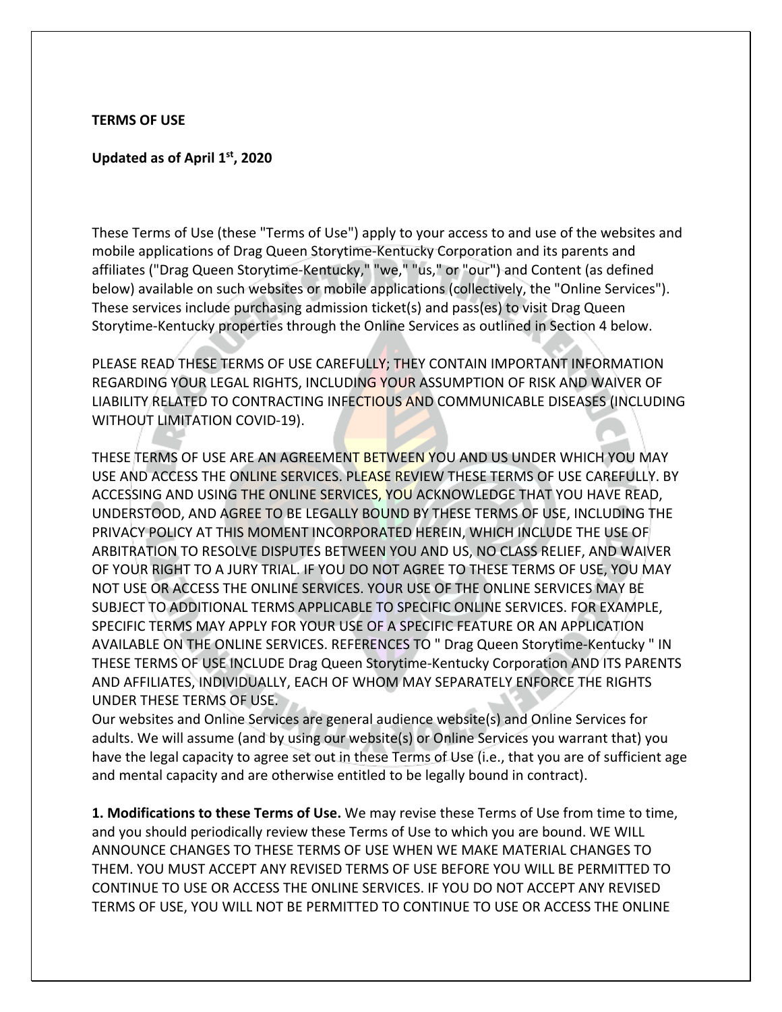#### **TERMS OF USE**

#### **Updated as of April 1st, 2020**

These Terms of Use (these "Terms of Use") apply to your access to and use of the websites and mobile applications of Drag Queen Storytime-Kentucky Corporation and its parents and affiliates ("Drag Queen Storytime-Kentucky," "we," "us," or "our") and Content (as defined below) available on such websites or mobile applications (collectively, the "Online Services"). These services include purchasing admission ticket(s) and pass(es) to visit Drag Queen Storytime-Kentucky properties through the Online Services as outlined in Section 4 below.

PLEASE READ THESE TERMS OF USE CAREFULLY; THEY CONTAIN IMPORTANT INFORMATION REGARDING YOUR LEGAL RIGHTS, INCLUDING YOUR ASSUMPTION OF RISK AND WAIVER OF LIABILITY RELATED TO CONTRACTING INFECTIOUS AND COMMUNICABLE DISEASES (INCLUDING WITHOUT LIMITATION COVID-19).

THESE TERMS OF USE ARE AN AGREEMENT BETWEEN YOU AND US UNDER WHICH YOU MAY USE AND ACCESS THE ONLINE SERVICES. PLEASE REVIEW THESE TERMS OF USE CAREFULLY. BY ACCESSING AND USING THE ONLINE SERVICES, YOU ACKNOWLEDGE THAT YOU HAVE READ, UNDERSTOOD, AND AGREE TO BE LEGALLY BOUND BY THESE TERMS OF USE, INCLUDING THE PRIVACY POLICY AT THIS MOMENT INCORPORATED HEREIN, WHICH INCLUDE THE USE OF ARBITRATION TO RESOLVE DISPUTES BETWEEN YOU AND US, NO CLASS RELIEF, AND WAIVER OF YOUR RIGHT TO A JURY TRIAL. IF YOU DO NOT AGREE TO THESE TERMS OF USE, YOU MAY NOT USE OR ACCESS THE ONLINE SERVICES. YOUR USE OF THE ONLINE SERVICES MAY BE SUBJECT TO ADDITIONAL TERMS APPLICABLE TO SPECIFIC ONLINE SERVICES. FOR EXAMPLE, SPECIFIC TERMS MAY APPLY FOR YOUR USE OF A SPECIFIC FEATURE OR AN APPLICATION AVAILABLE ON THE ONLINE SERVICES. REFERENCES TO " Drag Queen Storytime-Kentucky " IN THESE TERMS OF USE INCLUDE Drag Queen Storytime-Kentucky Corporation AND ITS PARENTS AND AFFILIATES, INDIVIDUALLY, EACH OF WHOM MAY SEPARATELY ENFORCE THE RIGHTS UNDER THESE TERMS OF USE.

Our websites and Online Services are general audience website(s) and Online Services for adults. We will assume (and by using our website(s) or Online Services you warrant that) you have the legal capacity to agree set out in these Terms of Use (i.e., that you are of sufficient age and mental capacity and are otherwise entitled to be legally bound in contract).

**1. Modifications to these Terms of Use.** We may revise these Terms of Use from time to time, and you should periodically review these Terms of Use to which you are bound. WE WILL ANNOUNCE CHANGES TO THESE TERMS OF USE WHEN WE MAKE MATERIAL CHANGES TO THEM. YOU MUST ACCEPT ANY REVISED TERMS OF USE BEFORE YOU WILL BE PERMITTED TO CONTINUE TO USE OR ACCESS THE ONLINE SERVICES. IF YOU DO NOT ACCEPT ANY REVISED TERMS OF USE, YOU WILL NOT BE PERMITTED TO CONTINUE TO USE OR ACCESS THE ONLINE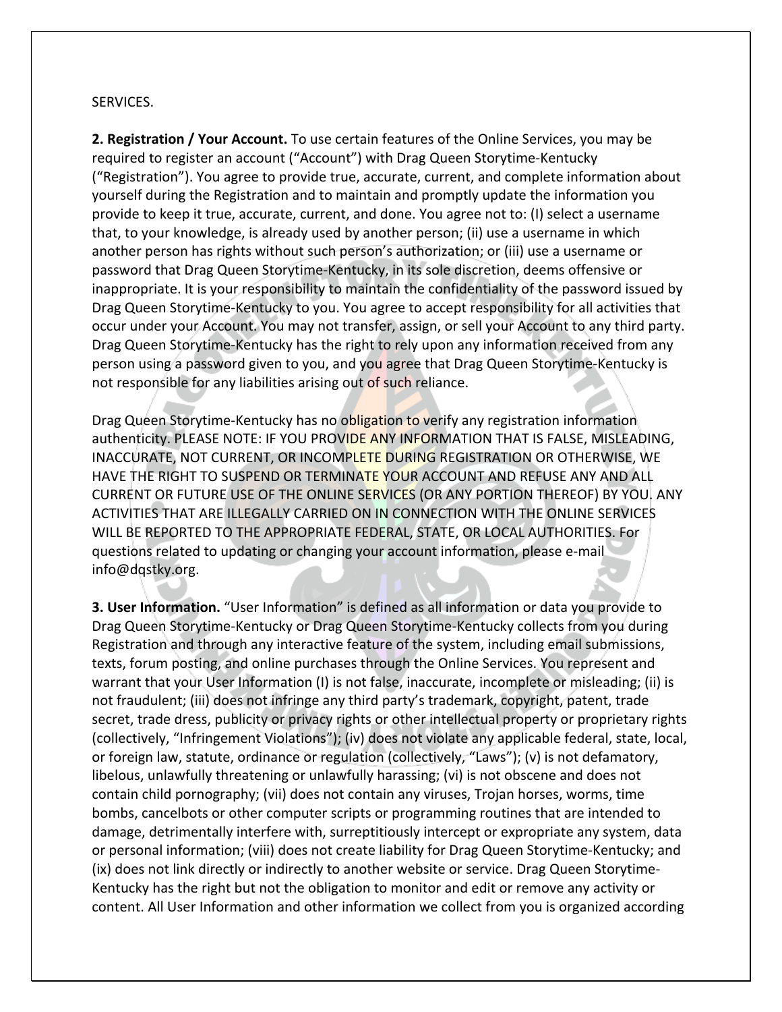### SERVICES.

**2. Registration / Your Account.** To use certain features of the Online Services, you may be required to register an account ("Account") with Drag Queen Storytime-Kentucky ("Registration"). You agree to provide true, accurate, current, and complete information about yourself during the Registration and to maintain and promptly update the information you provide to keep it true, accurate, current, and done. You agree not to: (I) select a username that, to your knowledge, is already used by another person; (ii) use a username in which another person has rights without such person's authorization; or (iii) use a username or password that Drag Queen Storytime-Kentucky, in its sole discretion, deems offensive or inappropriate. It is your responsibility to maintain the confidentiality of the password issued by Drag Queen Storytime-Kentucky to you. You agree to accept responsibility for all activities that occur under your Account. You may not transfer, assign, or sell your Account to any third party. Drag Queen Storytime-Kentucky has the right to rely upon any information received from any person using a password given to you, and you agree that Drag Queen Storytime-Kentucky is not responsible for any liabilities arising out of such reliance.

Drag Queen Storytime-Kentucky has no obligation to verify any registration information authenticity. PLEASE NOTE: IF YOU PROVIDE ANY INFORMATION THAT IS FALSE, MISLEADING, INACCURATE, NOT CURRENT, OR INCOMPLETE DURING REGISTRATION OR OTHERWISE, WE HAVE THE RIGHT TO SUSPEND OR TERMINATE YOUR ACCOUNT AND REFUSE ANY AND ALL CURRENT OR FUTURE USE OF THE ONLINE SERVICES (OR ANY PORTION THEREOF) BY YOU. ANY ACTIVITIES THAT ARE ILLEGALLY CARRIED ON IN CONNECTION WITH THE ONLINE SERVICES WILL BE REPORTED TO THE APPROPRIATE FEDERAL, STATE, OR LOCAL AUTHORITIES. For questions related to updating or changing your account information, please e-mail info@dqstky.org.

**3. User Information.** "User Information" is defined as all information or data you provide to Drag Queen Storytime-Kentucky or Drag Queen Storytime-Kentucky collects from you during Registration and through any interactive feature of the system, including email submissions, texts, forum posting, and online purchases through the Online Services. You represent and warrant that your User Information (I) is not false, inaccurate, incomplete or misleading; (ii) is not fraudulent; (iii) does not infringe any third party's trademark, copyright, patent, trade secret, trade dress, publicity or privacy rights or other intellectual property or proprietary rights (collectively, "Infringement Violations"); (iv) does not violate any applicable federal, state, local, or foreign law, statute, ordinance or regulation (collectively, "Laws"); (v) is not defamatory, libelous, unlawfully threatening or unlawfully harassing; (vi) is not obscene and does not contain child pornography; (vii) does not contain any viruses, Trojan horses, worms, time bombs, cancelbots or other computer scripts or programming routines that are intended to damage, detrimentally interfere with, surreptitiously intercept or expropriate any system, data or personal information; (viii) does not create liability for Drag Queen Storytime-Kentucky; and (ix) does not link directly or indirectly to another website or service. Drag Queen Storytime-Kentucky has the right but not the obligation to monitor and edit or remove any activity or content. All User Information and other information we collect from you is organized according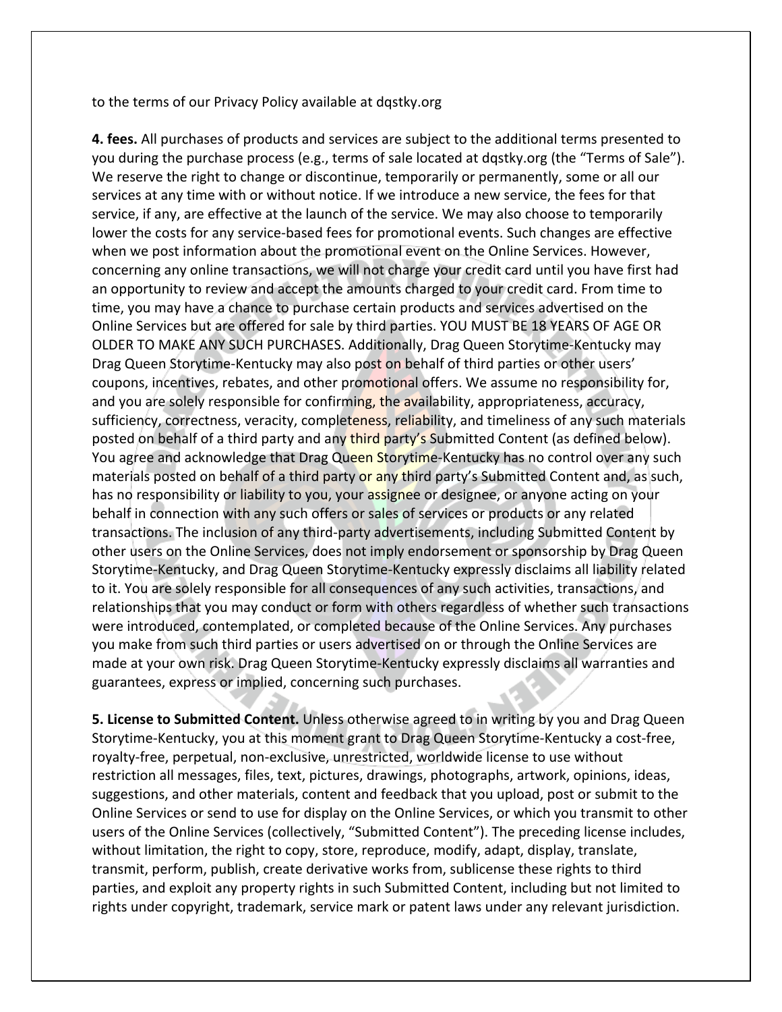to the terms of our Privacy Policy available at dqstky.org

**4. fees.** All purchases of products and services are subject to the additional terms presented to you during the purchase process (e.g., terms of sale located at dqstky.org (the "Terms of Sale"). We reserve the right to change or discontinue, temporarily or permanently, some or all our services at any time with or without notice. If we introduce a new service, the fees for that service, if any, are effective at the launch of the service. We may also choose to temporarily lower the costs for any service-based fees for promotional events. Such changes are effective when we post information about the promotional event on the Online Services. However, concerning any online transactions, we will not charge your credit card until you have first had an opportunity to review and accept the amounts charged to your credit card. From time to time, you may have a chance to purchase certain products and services advertised on the Online Services but are offered for sale by third parties. YOU MUST BE 18 YEARS OF AGE OR OLDER TO MAKE ANY SUCH PURCHASES. Additionally, Drag Queen Storytime-Kentucky may Drag Queen Storytime-Kentucky may also post on behalf of third parties or other users' coupons, incentives, rebates, and other promotional offers. We assume no responsibility for, and you are solely responsible for confirming, the availability, appropriateness, accuracy, sufficiency, correctness, veracity, completeness, reliability, and timeliness of any such materials posted on behalf of a third party and any third party's Submitted Content (as defined below). You agree and acknowledge that Drag Queen Storytime-Kentucky has no control over any such materials posted on behalf of a third party or any third party's Submitted Content and, as such, has no responsibility or liability to you, your assignee or designee, or anyone acting on your behalf in connection with any such offers or sales of services or products or any related transactions. The inclusion of any third-party advertisements, including Submitted Content by other users on the Online Services, does not imply endorsement or sponsorship by Drag Queen Storytime-Kentucky, and Drag Queen Storytime-Kentucky expressly disclaims all liability related to it. You are solely responsible for all consequences of any such activities, transactions, and relationships that you may conduct or form with others regardless of whether such transactions were introduced, contemplated, or completed because of the Online Services. Any purchases you make from such third parties or users advertised on or through the Online Services are made at your own risk. Drag Queen Storytime-Kentucky expressly disclaims all warranties and guarantees, express or implied, concerning such purchases.

**5. License to Submitted Content.** Unless otherwise agreed to in writing by you and Drag Queen Storytime-Kentucky, you at this moment grant to Drag Queen Storytime-Kentucky a cost-free, royalty-free, perpetual, non-exclusive, unrestricted, worldwide license to use without restriction all messages, files, text, pictures, drawings, photographs, artwork, opinions, ideas, suggestions, and other materials, content and feedback that you upload, post or submit to the Online Services or send to use for display on the Online Services, or which you transmit to other users of the Online Services (collectively, "Submitted Content"). The preceding license includes, without limitation, the right to copy, store, reproduce, modify, adapt, display, translate, transmit, perform, publish, create derivative works from, sublicense these rights to third parties, and exploit any property rights in such Submitted Content, including but not limited to rights under copyright, trademark, service mark or patent laws under any relevant jurisdiction.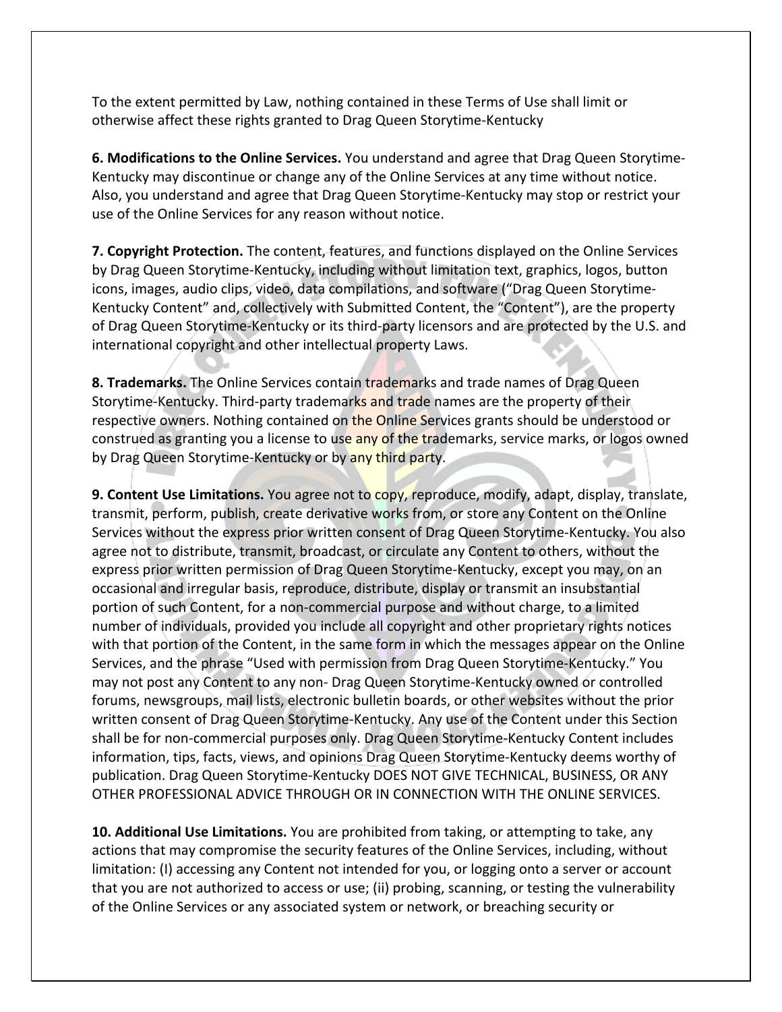To the extent permitted by Law, nothing contained in these Terms of Use shall limit or otherwise affect these rights granted to Drag Queen Storytime-Kentucky

**6. Modifications to the Online Services.** You understand and agree that Drag Queen Storytime-Kentucky may discontinue or change any of the Online Services at any time without notice. Also, you understand and agree that Drag Queen Storytime-Kentucky may stop or restrict your use of the Online Services for any reason without notice.

**7. Copyright Protection.** The content, features, and functions displayed on the Online Services by Drag Queen Storytime-Kentucky, including without limitation text, graphics, logos, button icons, images, audio clips, video, data compilations, and software ("Drag Queen Storytime-Kentucky Content" and, collectively with Submitted Content, the "Content"), are the property of Drag Queen Storytime-Kentucky or its third-party licensors and are protected by the U.S. and international copyright and other intellectual property Laws.

**8. Trademarks.** The Online Services contain trademarks and trade names of Drag Queen Storytime-Kentucky. Third-party trademarks and trade names are the property of their respective owners. Nothing contained on the Online Services grants should be understood or construed as granting you a license to use any of the trademarks, service marks, or logos owned by Drag Queen Storytime-Kentucky or by any third party.

**9. Content Use Limitations.** You agree not to copy, reproduce, modify, adapt, display, translate, transmit, perform, publish, create derivative works from, or store any Content on the Online Services without the express prior written consent of Drag Queen Storytime-Kentucky. You also agree not to distribute, transmit, broadcast, or circulate any Content to others, without the express prior written permission of Drag Queen Storytime-Kentucky, except you may, on an occasional and irregular basis, reproduce, distribute, display or transmit an insubstantial portion of such Content, for a non-commercial purpose and without charge, to a limited number of individuals, provided you include all copyright and other proprietary rights notices with that portion of the Content, in the same form in which the messages appear on the Online Services, and the phrase "Used with permission from Drag Queen Storytime-Kentucky." You may not post any Content to any non- Drag Queen Storytime-Kentucky owned or controlled forums, newsgroups, mail lists, electronic bulletin boards, or other websites without the prior written consent of Drag Queen Storytime-Kentucky. Any use of the Content under this Section shall be for non-commercial purposes only. Drag Queen Storytime-Kentucky Content includes information, tips, facts, views, and opinions Drag Queen Storytime-Kentucky deems worthy of publication. Drag Queen Storytime-Kentucky DOES NOT GIVE TECHNICAL, BUSINESS, OR ANY OTHER PROFESSIONAL ADVICE THROUGH OR IN CONNECTION WITH THE ONLINE SERVICES.

**10. Additional Use Limitations.** You are prohibited from taking, or attempting to take, any actions that may compromise the security features of the Online Services, including, without limitation: (I) accessing any Content not intended for you, or logging onto a server or account that you are not authorized to access or use; (ii) probing, scanning, or testing the vulnerability of the Online Services or any associated system or network, or breaching security or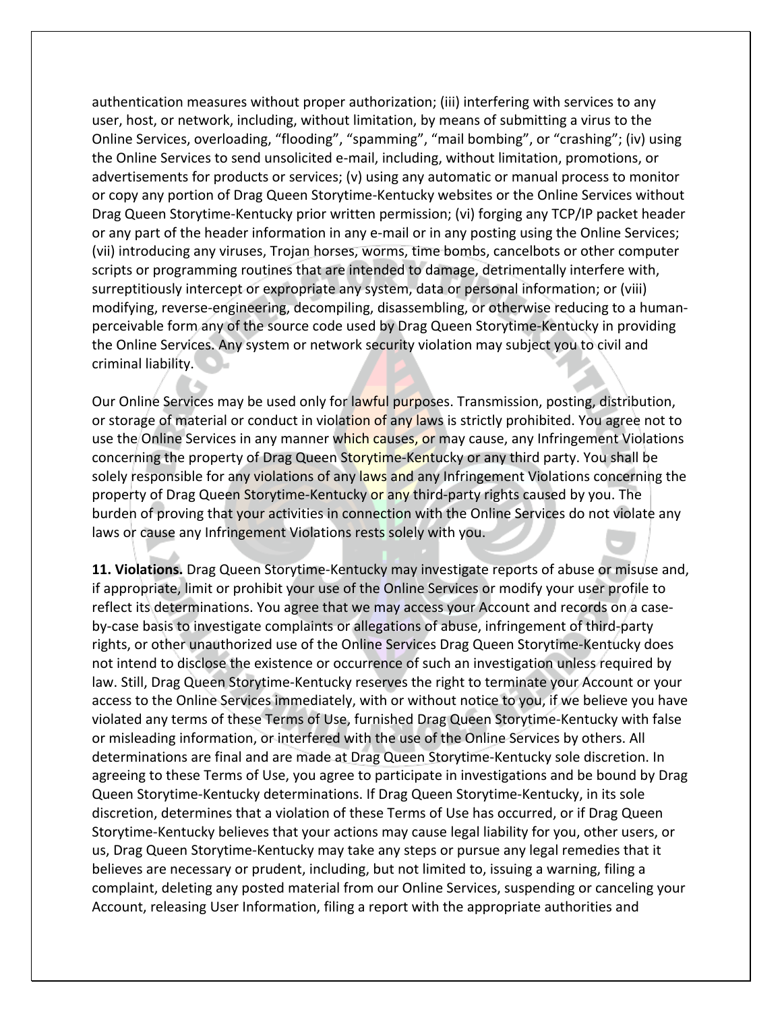authentication measures without proper authorization; (iii) interfering with services to any user, host, or network, including, without limitation, by means of submitting a virus to the Online Services, overloading, "flooding", "spamming", "mail bombing", or "crashing"; (iv) using the Online Services to send unsolicited e-mail, including, without limitation, promotions, or advertisements for products or services; (v) using any automatic or manual process to monitor or copy any portion of Drag Queen Storytime-Kentucky websites or the Online Services without Drag Queen Storytime-Kentucky prior written permission; (vi) forging any TCP/IP packet header or any part of the header information in any e-mail or in any posting using the Online Services; (vii) introducing any viruses, Trojan horses, worms, time bombs, cancelbots or other computer scripts or programming routines that are intended to damage, detrimentally interfere with, surreptitiously intercept or expropriate any system, data or personal information; or (viii) modifying, reverse-engineering, decompiling, disassembling, or otherwise reducing to a humanperceivable form any of the source code used by Drag Queen Storytime-Kentucky in providing the Online Services. Any system or network security violation may subject you to civil and criminal liability.

Our Online Services may be used only for lawful purposes. Transmission, posting, distribution, or storage of material or conduct in violation of any laws is strictly prohibited. You agree not to use the Online Services in any manner which causes, or may cause, any Infringement Violations concerning the property of Drag Queen Storytime-Kentucky or any third party. You shall be solely responsible for any violations of any laws and any Infringement Violations concerning the property of Drag Queen Storytime-Kentucky or any third-party rights caused by you. The burden of proving that your activities in connection with the Online Services do not violate any laws or cause any Infringement Violations rests solely with you.

**11. Violations.** Drag Queen Storytime-Kentucky may investigate reports of abuse or misuse and, if appropriate, limit or prohibit your use of the Online Services or modify your user profile to reflect its determinations. You agree that we may access your Account and records on a caseby-case basis to investigate complaints or allegations of abuse, infringement of third-party rights, or other unauthorized use of the Online Services Drag Queen Storytime-Kentucky does not intend to disclose the existence or occurrence of such an investigation unless required by law. Still, Drag Queen Storytime-Kentucky reserves the right to terminate your Account or your access to the Online Services immediately, with or without notice to you, if we believe you have violated any terms of these Terms of Use, furnished Drag Queen Storytime-Kentucky with false or misleading information, or interfered with the use of the Online Services by others. All determinations are final and are made at Drag Queen Storytime-Kentucky sole discretion. In agreeing to these Terms of Use, you agree to participate in investigations and be bound by Drag Queen Storytime-Kentucky determinations. If Drag Queen Storytime-Kentucky, in its sole discretion, determines that a violation of these Terms of Use has occurred, or if Drag Queen Storytime-Kentucky believes that your actions may cause legal liability for you, other users, or us, Drag Queen Storytime-Kentucky may take any steps or pursue any legal remedies that it believes are necessary or prudent, including, but not limited to, issuing a warning, filing a complaint, deleting any posted material from our Online Services, suspending or canceling your Account, releasing User Information, filing a report with the appropriate authorities and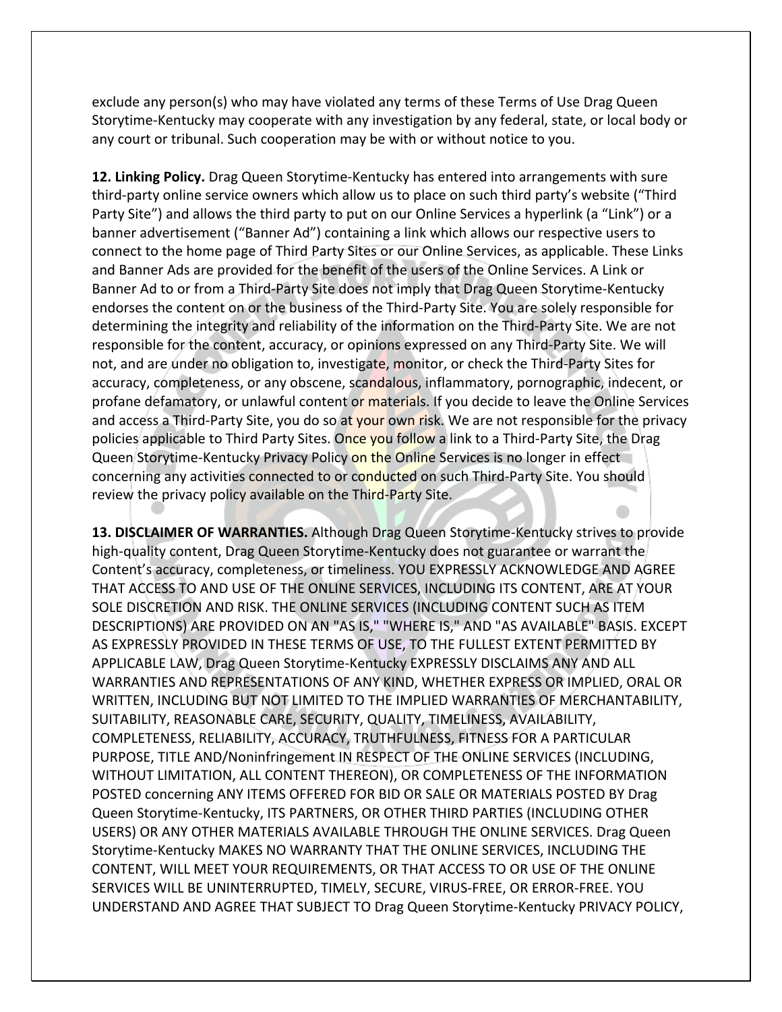exclude any person(s) who may have violated any terms of these Terms of Use Drag Queen Storytime-Kentucky may cooperate with any investigation by any federal, state, or local body or any court or tribunal. Such cooperation may be with or without notice to you.

**12. Linking Policy.** Drag Queen Storytime-Kentucky has entered into arrangements with sure third-party online service owners which allow us to place on such third party's website ("Third Party Site") and allows the third party to put on our Online Services a hyperlink (a "Link") or a banner advertisement ("Banner Ad") containing a link which allows our respective users to connect to the home page of Third Party Sites or our Online Services, as applicable. These Links and Banner Ads are provided for the benefit of the users of the Online Services. A Link or Banner Ad to or from a Third-Party Site does not imply that Drag Queen Storytime-Kentucky endorses the content on or the business of the Third-Party Site. You are solely responsible for determining the integrity and reliability of the information on the Third-Party Site. We are not responsible for the content, accuracy, or opinions expressed on any Third-Party Site. We will not, and are under no obligation to, investigate, monitor, or check the Third-Party Sites for accuracy, completeness, or any obscene, scandalous, inflammatory, pornographic, indecent, or profane defamatory, or unlawful content or materials. If you decide to leave the Online Services and access a Third-Party Site, you do so at your own risk. We are not responsible for the privacy policies applicable to Third Party Sites. Once you follow a link to a Third-Party Site, the Drag Queen Storytime-Kentucky Privacy Policy on the Online Services is no longer in effect concerning any activities connected to or conducted on such Third-Party Site. You should review the privacy policy available on the Third-Party Site.

**13. DISCLAIMER OF WARRANTIES.** Although Drag Queen Storytime-Kentucky strives to provide high-quality content, Drag Queen Storytime-Kentucky does not guarantee or warrant the Content's accuracy, completeness, or timeliness. YOU EXPRESSLY ACKNOWLEDGE AND AGREE THAT ACCESS TO AND USE OF THE ONLINE SERVICES, INCLUDING ITS CONTENT, ARE AT YOUR SOLE DISCRETION AND RISK. THE ONLINE SERVICES (INCLUDING CONTENT SUCH AS ITEM DESCRIPTIONS) ARE PROVIDED ON AN "AS IS," "WHERE IS," AND "AS AVAILABLE" BASIS. EXCEPT AS EXPRESSLY PROVIDED IN THESE TERMS OF USE, TO THE FULLEST EXTENT PERMITTED BY APPLICABLE LAW, Drag Queen Storytime-Kentucky EXPRESSLY DISCLAIMS ANY AND ALL WARRANTIES AND REPRESENTATIONS OF ANY KIND, WHETHER EXPRESS OR IMPLIED, ORAL OR WRITTEN, INCLUDING BUT NOT LIMITED TO THE IMPLIED WARRANTIES OF MERCHANTABILITY, SUITABILITY, REASONABLE CARE, SECURITY, QUALITY, TIMELINESS, AVAILABILITY, COMPLETENESS, RELIABILITY, ACCURACY, TRUTHFULNESS, FITNESS FOR A PARTICULAR PURPOSE, TITLE AND/Noninfringement IN RESPECT OF THE ONLINE SERVICES (INCLUDING, WITHOUT LIMITATION, ALL CONTENT THEREON), OR COMPLETENESS OF THE INFORMATION POSTED concerning ANY ITEMS OFFERED FOR BID OR SALE OR MATERIALS POSTED BY Drag Queen Storytime-Kentucky, ITS PARTNERS, OR OTHER THIRD PARTIES (INCLUDING OTHER USERS) OR ANY OTHER MATERIALS AVAILABLE THROUGH THE ONLINE SERVICES. Drag Queen Storytime-Kentucky MAKES NO WARRANTY THAT THE ONLINE SERVICES, INCLUDING THE CONTENT, WILL MEET YOUR REQUIREMENTS, OR THAT ACCESS TO OR USE OF THE ONLINE SERVICES WILL BE UNINTERRUPTED, TIMELY, SECURE, VIRUS-FREE, OR ERROR-FREE. YOU UNDERSTAND AND AGREE THAT SUBJECT TO Drag Queen Storytime-Kentucky PRIVACY POLICY,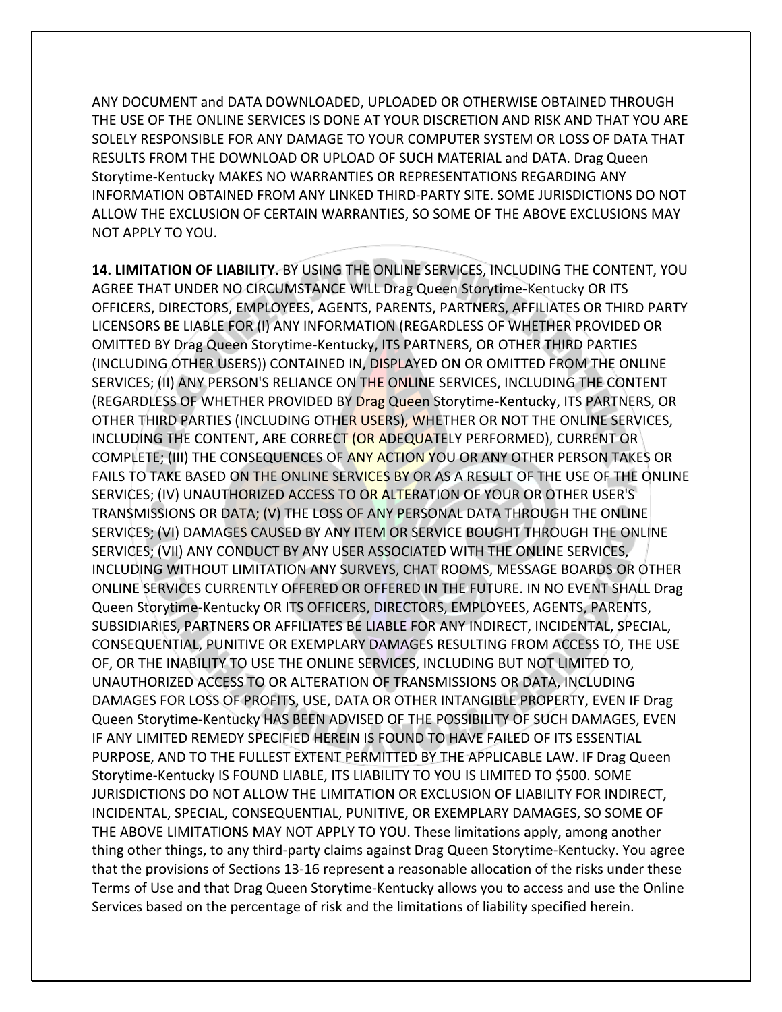ANY DOCUMENT and DATA DOWNLOADED, UPLOADED OR OTHERWISE OBTAINED THROUGH THE USE OF THE ONLINE SERVICES IS DONE AT YOUR DISCRETION AND RISK AND THAT YOU ARE SOLELY RESPONSIBLE FOR ANY DAMAGE TO YOUR COMPUTER SYSTEM OR LOSS OF DATA THAT RESULTS FROM THE DOWNLOAD OR UPLOAD OF SUCH MATERIAL and DATA. Drag Queen Storytime-Kentucky MAKES NO WARRANTIES OR REPRESENTATIONS REGARDING ANY INFORMATION OBTAINED FROM ANY LINKED THIRD-PARTY SITE. SOME JURISDICTIONS DO NOT ALLOW THE EXCLUSION OF CERTAIN WARRANTIES, SO SOME OF THE ABOVE EXCLUSIONS MAY NOT APPLY TO YOU.

**14. LIMITATION OF LIABILITY.** BY USING THE ONLINE SERVICES, INCLUDING THE CONTENT, YOU AGREE THAT UNDER NO CIRCUMSTANCE WILL Drag Queen Storytime-Kentucky OR ITS OFFICERS, DIRECTORS, EMPLOYEES, AGENTS, PARENTS, PARTNERS, AFFILIATES OR THIRD PARTY LICENSORS BE LIABLE FOR (I) ANY INFORMATION (REGARDLESS OF WHETHER PROVIDED OR OMITTED BY Drag Queen Storytime-Kentucky, ITS PARTNERS, OR OTHER THIRD PARTIES (INCLUDING OTHER USERS)) CONTAINED IN, DISPLAYED ON OR OMITTED FROM THE ONLINE SERVICES; (II) ANY PERSON'S RELIANCE ON THE ONLINE SERVICES, INCLUDING THE CONTENT (REGARDLESS OF WHETHER PROVIDED BY Drag Queen Storytime-Kentucky, ITS PARTNERS, OR OTHER THIRD PARTIES (INCLUDING OTHER USERS), WHETHER OR NOT THE ONLINE SERVICES, INCLUDING THE CONTENT, ARE CORRECT (OR ADEQUATELY PERFORMED), CURRENT OR COMPLETE; (III) THE CONSEQUENCES OF ANY ACTION YOU OR ANY OTHER PERSON TAKES OR FAILS TO TAKE BASED ON THE ONLINE SERVICES BY OR AS A RESULT OF THE USE OF THE ONLINE SERVICES; (IV) UNAUTHORIZED ACCESS TO OR ALTERATION OF YOUR OR OTHER USER'S TRANSMISSIONS OR DATA; (V) THE LOSS OF ANY PERSONAL DATA THROUGH THE ONLINE SERVICES; (VI) DAMAGES CAUSED BY ANY ITEM OR SERVICE BOUGHT THROUGH THE ONLINE SERVICES; (VII) ANY CONDUCT BY ANY USER ASSOCIATED WITH THE ONLINE SERVICES, INCLUDING WITHOUT LIMITATION ANY SURVEYS, CHAT ROOMS, MESSAGE BOARDS OR OTHER ONLINE SERVICES CURRENTLY OFFERED OR OFFERED IN THE FUTURE. IN NO EVENT SHALL Drag Queen Storytime-Kentucky OR ITS OFFICERS, DIRECTORS, EMPLOYEES, AGENTS, PARENTS, SUBSIDIARIES, PARTNERS OR AFFILIATES BE LIABLE FOR ANY INDIRECT, INCIDENTAL, SPECIAL, CONSEQUENTIAL, PUNITIVE OR EXEMPLARY DAMAGES RESULTING FROM ACCESS TO, THE USE OF, OR THE INABILITY TO USE THE ONLINE SERVICES, INCLUDING BUT NOT LIMITED TO, UNAUTHORIZED ACCESS TO OR ALTERATION OF TRANSMISSIONS OR DATA, INCLUDING DAMAGES FOR LOSS OF PROFITS, USE, DATA OR OTHER INTANGIBLE PROPERTY, EVEN IF Drag Queen Storytime-Kentucky HAS BEEN ADVISED OF THE POSSIBILITY OF SUCH DAMAGES, EVEN IF ANY LIMITED REMEDY SPECIFIED HEREIN IS FOUND TO HAVE FAILED OF ITS ESSENTIAL PURPOSE, AND TO THE FULLEST EXTENT PERMITTED BY THE APPLICABLE LAW. IF Drag Queen Storytime-Kentucky IS FOUND LIABLE, ITS LIABILITY TO YOU IS LIMITED TO \$500. SOME JURISDICTIONS DO NOT ALLOW THE LIMITATION OR EXCLUSION OF LIABILITY FOR INDIRECT, INCIDENTAL, SPECIAL, CONSEQUENTIAL, PUNITIVE, OR EXEMPLARY DAMAGES, SO SOME OF THE ABOVE LIMITATIONS MAY NOT APPLY TO YOU. These limitations apply, among another thing other things, to any third-party claims against Drag Queen Storytime-Kentucky. You agree that the provisions of Sections 13-16 represent a reasonable allocation of the risks under these Terms of Use and that Drag Queen Storytime-Kentucky allows you to access and use the Online Services based on the percentage of risk and the limitations of liability specified herein.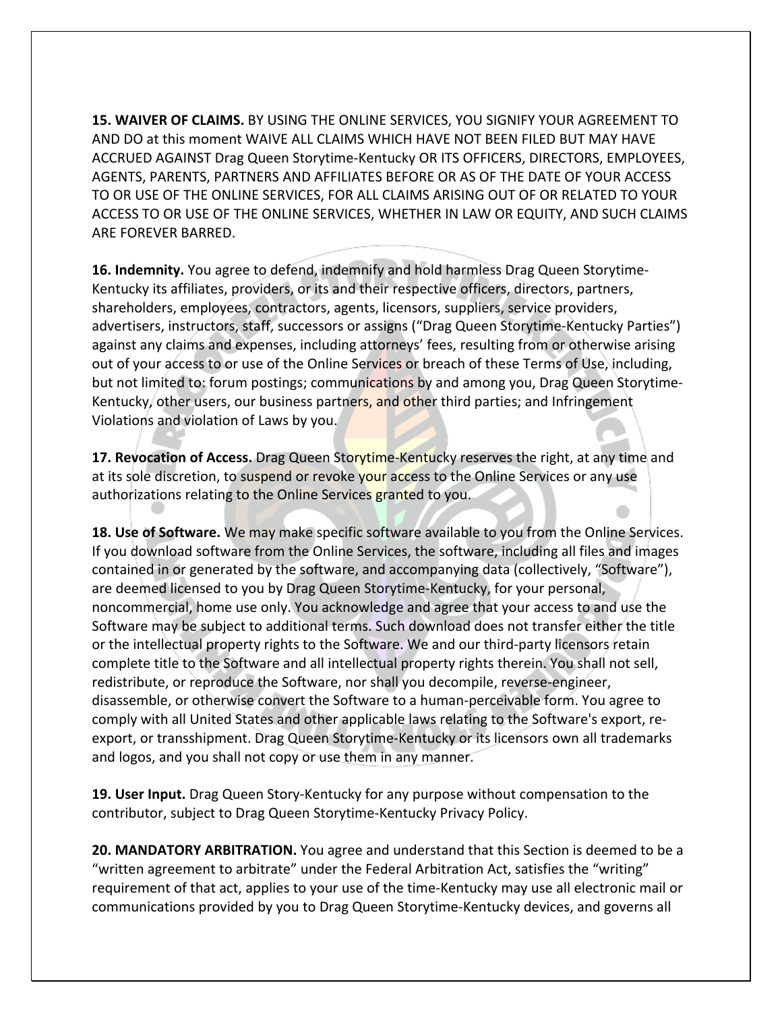**15. WAIVER OF CLAIMS.** BY USING THE ONLINE SERVICES, YOU SIGNIFY YOUR AGREEMENT TO AND DO at this moment WAIVE ALL CLAIMS WHICH HAVE NOT BEEN FILED BUT MAY HAVE ACCRUED AGAINST Drag Queen Storytime-Kentucky OR ITS OFFICERS, DIRECTORS, EMPLOYEES, AGENTS, PARENTS, PARTNERS AND AFFILIATES BEFORE OR AS OF THE DATE OF YOUR ACCESS TO OR USE OF THE ONLINE SERVICES, FOR ALL CLAIMS ARISING OUT OF OR RELATED TO YOUR ACCESS TO OR USE OF THE ONLINE SERVICES, WHETHER IN LAW OR EQUITY, AND SUCH CLAIMS ARE FOREVER BARRED.

**16. Indemnity.** You agree to defend, indemnify and hold harmless Drag Queen Storytime-Kentucky its affiliates, providers, or its and their respective officers, directors, partners, shareholders, employees, contractors, agents, licensors, suppliers, service providers, advertisers, instructors, staff, successors or assigns ("Drag Queen Storytime-Kentucky Parties") against any claims and expenses, including attorneys' fees, resulting from or otherwise arising out of your access to or use of the Online Services or breach of these Terms of Use, including, but not limited to: forum postings; communications by and among you, Drag Queen Storytime-Kentucky, other users, our business partners, and other third parties; and Infringement Violations and violation of Laws by you.

**17. Revocation of Access.** Drag Queen Storytime-Kentucky reserves the right, at any time and at its sole discretion, to suspend or revoke your access to the Online Services or any use authorizations relating to the Online Services granted to you.

**18. Use of Software.** We may make specific software available to you from the Online Services. If you download software from the Online Services, the software, including all files and images contained in or generated by the software, and accompanying data (collectively, "Software"), are deemed licensed to you by Drag Queen Storytime-Kentucky, for your personal, noncommercial, home use only. You acknowledge and agree that your access to and use the Software may be subject to additional terms. Such download does not transfer either the title or the intellectual property rights to the Software. We and our third-party licensors retain complete title to the Software and all intellectual property rights therein. You shall not sell, redistribute, or reproduce the Software, nor shall you decompile, reverse-engineer, disassemble, or otherwise convert the Software to a human-perceivable form. You agree to comply with all United States and other applicable laws relating to the Software's export, reexport, or transshipment. Drag Queen Storytime-Kentucky or its licensors own all trademarks and logos, and you shall not copy or use them in any manner.

**19. User Input.** Drag Queen Story-Kentucky for any purpose without compensation to the contributor, subject to Drag Queen Storytime-Kentucky Privacy Policy.

**20. MANDATORY ARBITRATION.** You agree and understand that this Section is deemed to be a "written agreement to arbitrate" under the Federal Arbitration Act, satisfies the "writing" requirement of that act, applies to your use of the time-Kentucky may use all electronic mail or communications provided by you to Drag Queen Storytime-Kentucky devices, and governs all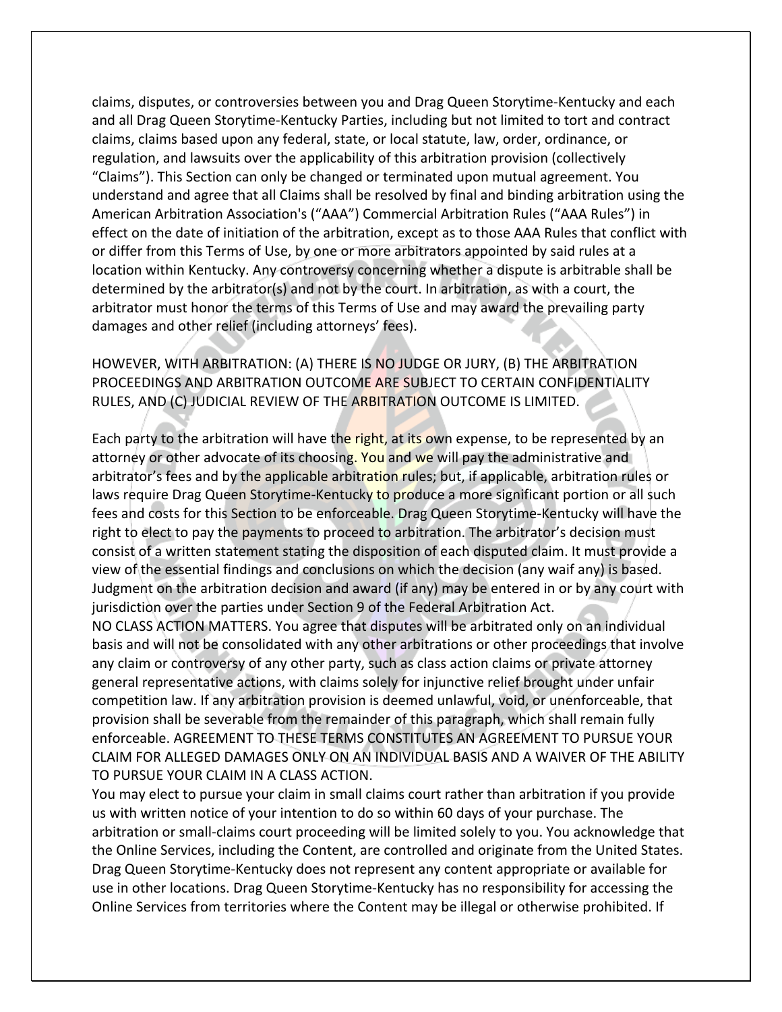claims, disputes, or controversies between you and Drag Queen Storytime-Kentucky and each and all Drag Queen Storytime-Kentucky Parties, including but not limited to tort and contract claims, claims based upon any federal, state, or local statute, law, order, ordinance, or regulation, and lawsuits over the applicability of this arbitration provision (collectively "Claims"). This Section can only be changed or terminated upon mutual agreement. You understand and agree that all Claims shall be resolved by final and binding arbitration using the American Arbitration Association's ("AAA") Commercial Arbitration Rules ("AAA Rules") in effect on the date of initiation of the arbitration, except as to those AAA Rules that conflict with or differ from this Terms of Use, by one or more arbitrators appointed by said rules at a location within Kentucky. Any controversy concerning whether a dispute is arbitrable shall be determined by the arbitrator(s) and not by the court. In arbitration, as with a court, the arbitrator must honor the terms of this Terms of Use and may award the prevailing party damages and other relief (including attorneys' fees).

# HOWEVER, WITH ARBITRATION: (A) THERE IS NO JUDGE OR JURY, (B) THE ARBITRATION PROCEEDINGS AND ARBITRATION OUTCOME ARE SUBJECT TO CERTAIN CONFIDENTIALITY RULES, AND (C) JUDICIAL REVIEW OF THE ARBITRATION OUTCOME IS LIMITED.

Each party to the arbitration will have the right, at its own expense, to be represented by an attorney or other advocate of its choosing. You and we will pay the administrative and arbitrator's fees and by the applicable arbitration rules; but, if applicable, arbitration rules or laws require Drag Queen Storytime-Kentucky to produce a more significant portion or all such fees and costs for this Section to be enforceable. Drag Queen Storytime-Kentucky will have the right to elect to pay the payments to proceed to arbitration. The arbitrator's decision must consist of a written statement stating the disposition of each disputed claim. It must provide a view of the essential findings and conclusions on which the decision (any waif any) is based. Judgment on the arbitration decision and award (if any) may be entered in or by any court with jurisdiction over the parties under Section 9 of the Federal Arbitration Act.

NO CLASS ACTION MATTERS. You agree that disputes will be arbitrated only on an individual basis and will not be consolidated with any other arbitrations or other proceedings that involve any claim or controversy of any other party, such as class action claims or private attorney general representative actions, with claims solely for injunctive relief brought under unfair competition law. If any arbitration provision is deemed unlawful, void, or unenforceable, that provision shall be severable from the remainder of this paragraph, which shall remain fully enforceable. AGREEMENT TO THESE TERMS CONSTITUTES AN AGREEMENT TO PURSUE YOUR CLAIM FOR ALLEGED DAMAGES ONLY ON AN INDIVIDUAL BASIS AND A WAIVER OF THE ABILITY TO PURSUE YOUR CLAIM IN A CLASS ACTION.

You may elect to pursue your claim in small claims court rather than arbitration if you provide us with written notice of your intention to do so within 60 days of your purchase. The arbitration or small-claims court proceeding will be limited solely to you. You acknowledge that the Online Services, including the Content, are controlled and originate from the United States. Drag Queen Storytime-Kentucky does not represent any content appropriate or available for use in other locations. Drag Queen Storytime-Kentucky has no responsibility for accessing the Online Services from territories where the Content may be illegal or otherwise prohibited. If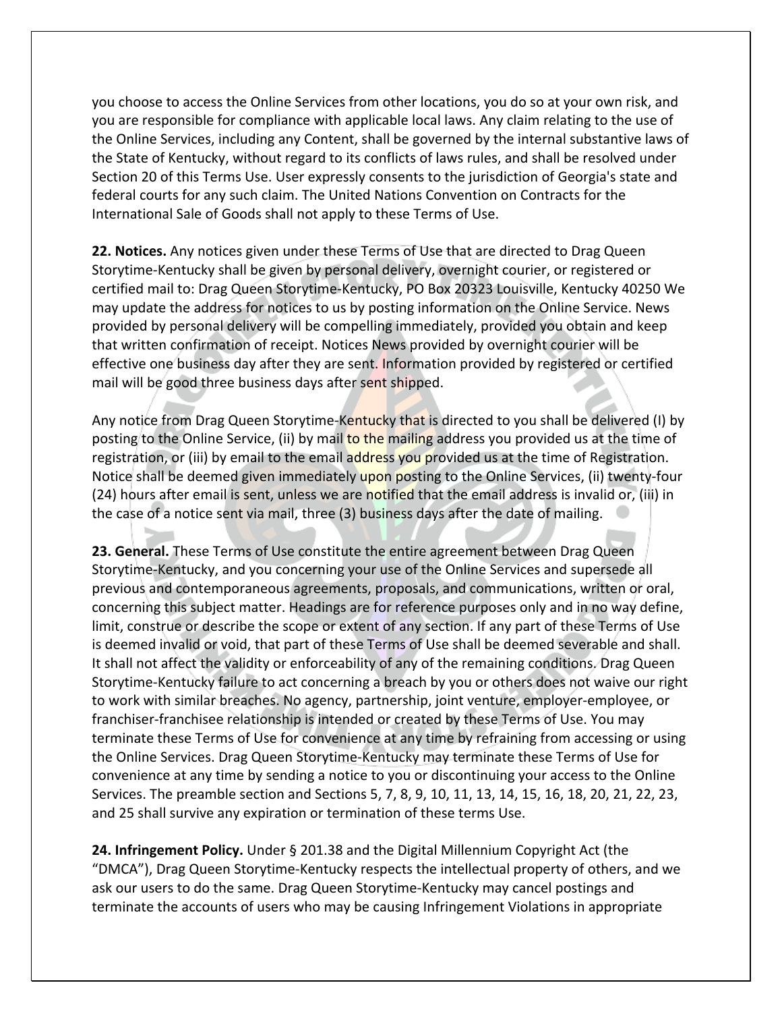you choose to access the Online Services from other locations, you do so at your own risk, and you are responsible for compliance with applicable local laws. Any claim relating to the use of the Online Services, including any Content, shall be governed by the internal substantive laws of the State of Kentucky, without regard to its conflicts of laws rules, and shall be resolved under Section 20 of this Terms Use. User expressly consents to the jurisdiction of Georgia's state and federal courts for any such claim. The United Nations Convention on Contracts for the International Sale of Goods shall not apply to these Terms of Use.

**22. Notices.** Any notices given under these Terms of Use that are directed to Drag Queen Storytime-Kentucky shall be given by personal delivery, overnight courier, or registered or certified mail to: Drag Queen Storytime-Kentucky, PO Box 20323 Louisville, Kentucky 40250 We may update the address for notices to us by posting information on the Online Service. News provided by personal delivery will be compelling immediately, provided you obtain and keep that written confirmation of receipt. Notices News provided by overnight courier will be effective one business day after they are sent. Information provided by registered or certified mail will be good three business days after sent shipped.

Any notice from Drag Queen Storytime-Kentucky that is directed to you shall be delivered (I) by posting to the Online Service, (ii) by mail to the mailing address you provided us at the time of registration, or (iii) by email to the email address you provided us at the time of Registration. Notice shall be deemed given immediately upon posting to the Online Services, (ii) twenty-four (24) hours after email is sent, unless we are notified that the email address is invalid or, (iii) in the case of a notice sent via mail, three (3) business days after the date of mailing.  $\Box$ 

**23. General.** These Terms of Use constitute the entire agreement between Drag Queen Storytime-Kentucky, and you concerning your use of the Online Services and supersede all previous and contemporaneous agreements, proposals, and communications, written or oral, concerning this subject matter. Headings are for reference purposes only and in no way define, limit, construe or describe the scope or extent of any section. If any part of these Terms of Use is deemed invalid or void, that part of these Terms of Use shall be deemed severable and shall. It shall not affect the validity or enforceability of any of the remaining conditions. Drag Queen Storytime-Kentucky failure to act concerning a breach by you or others does not waive our right to work with similar breaches. No agency, partnership, joint venture, employer-employee, or franchiser-franchisee relationship is intended or created by these Terms of Use. You may terminate these Terms of Use for convenience at any time by refraining from accessing or using the Online Services. Drag Queen Storytime-Kentucky may terminate these Terms of Use for convenience at any time by sending a notice to you or discontinuing your access to the Online Services. The preamble section and Sections 5, 7, 8, 9, 10, 11, 13, 14, 15, 16, 18, 20, 21, 22, 23, and 25 shall survive any expiration or termination of these terms Use.

**24. Infringement Policy.** Under § 201.38 and the Digital Millennium Copyright Act (the "DMCA"), Drag Queen Storytime-Kentucky respects the intellectual property of others, and we ask our users to do the same. Drag Queen Storytime-Kentucky may cancel postings and terminate the accounts of users who may be causing Infringement Violations in appropriate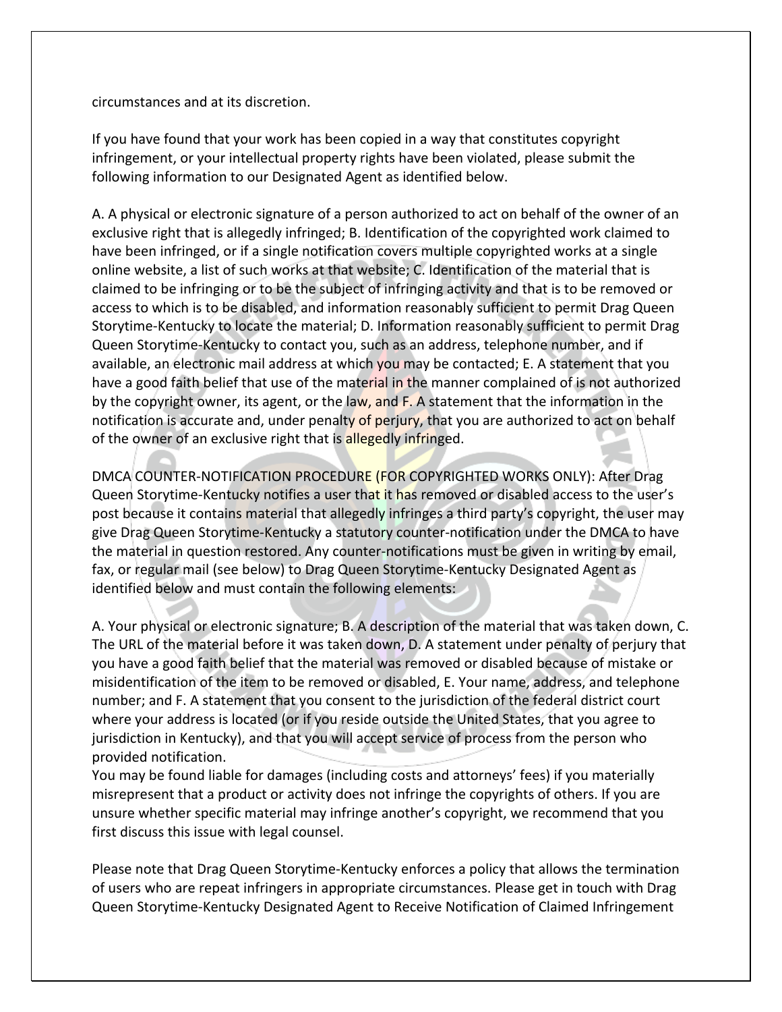circumstances and at its discretion.

If you have found that your work has been copied in a way that constitutes copyright infringement, or your intellectual property rights have been violated, please submit the following information to our Designated Agent as identified below.

A. A physical or electronic signature of a person authorized to act on behalf of the owner of an exclusive right that is allegedly infringed; B. Identification of the copyrighted work claimed to have been infringed, or if a single notification covers multiple copyrighted works at a single online website, a list of such works at that website; C. Identification of the material that is claimed to be infringing or to be the subject of infringing activity and that is to be removed or access to which is to be disabled, and information reasonably sufficient to permit Drag Queen Storytime-Kentucky to locate the material; D. Information reasonably sufficient to permit Drag Queen Storytime-Kentucky to contact you, such as an address, telephone number, and if available, an electronic mail address at which you may be contacted; E. A statement that you have a good faith belief that use of the material in the manner complained of is not authorized by the copyright owner, its agent, or the law, and F. A statement that the information in the notification is accurate and, under penalty of perjury, that you are authorized to act on behalf of the owner of an exclusive right that is allegedly infringed.

DMCA COUNTER-NOTIFICATION PROCEDURE (FOR COPYRIGHTED WORKS ONLY): After Drag Queen Storytime-Kentucky notifies a user that it has removed or disabled access to the user's post because it contains material that allegedly infringes a third party's copyright, the user may give Drag Queen Storytime-Kentucky a statutory counter-notification under the DMCA to have the material in question restored. Any counter-notifications must be given in writing by email, fax, or regular mail (see below) to Drag Queen Storytime-Kentucky Designated Agent as identified below and must contain the following elements:

A. Your physical or electronic signature; B. A description of the material that was taken down, C. The URL of the material before it was taken down, D. A statement under penalty of perjury that you have a good faith belief that the material was removed or disabled because of mistake or misidentification of the item to be removed or disabled, E. Your name, address, and telephone number; and F. A statement that you consent to the jurisdiction of the federal district court where your address is located (or if you reside outside the United States, that you agree to jurisdiction in Kentucky), and that you will accept service of process from the person who provided notification.

You may be found liable for damages (including costs and attorneys' fees) if you materially misrepresent that a product or activity does not infringe the copyrights of others. If you are unsure whether specific material may infringe another's copyright, we recommend that you first discuss this issue with legal counsel.

Please note that Drag Queen Storytime-Kentucky enforces a policy that allows the termination of users who are repeat infringers in appropriate circumstances. Please get in touch with Drag Queen Storytime-Kentucky Designated Agent to Receive Notification of Claimed Infringement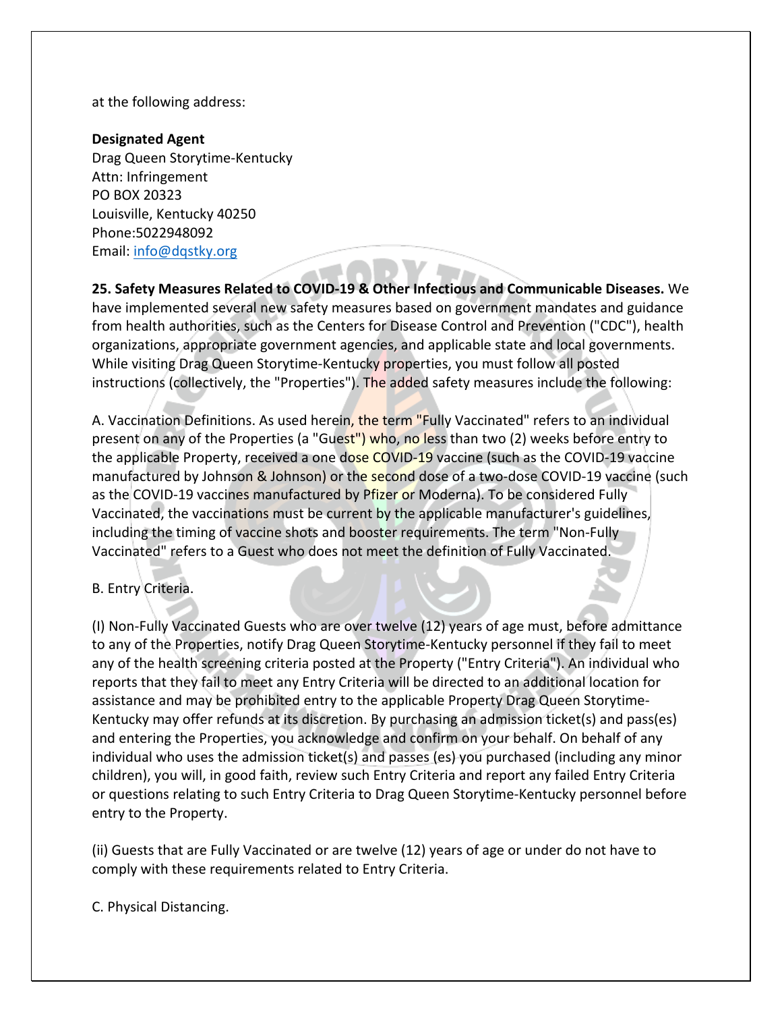at the following address:

# **Designated Agent**

Drag Queen Storytime-Kentucky Attn: Infringement PO BOX 20323 Louisville, Kentucky 40250 Phone:5022948092 Email: info@dqstky.org

**25. Safety Measures Related to COVID-19 & Other Infectious and Communicable Diseases.** We have implemented several new safety measures based on government mandates and guidance from health authorities, such as the Centers for Disease Control and Prevention ("CDC"), health organizations, appropriate government agencies, and applicable state and local governments. While visiting Drag Queen Storytime-Kentucky properties, you must follow all posted instructions (collectively, the "Properties"). The added safety measures include the following:

A. Vaccination Definitions. As used herein, the term "Fully Vaccinated" refers to an individual present on any of the Properties (a "Guest") who, no less than two (2) weeks before entry to the applicable Property, received a one dose COVID-19 vaccine (such as the COVID-19 vaccine manufactured by Johnson & Johnson) or the second dose of a two-dose COVID-19 vaccine (such as the COVID-19 vaccines manufactured by Pfizer or Moderna). To be considered Fully Vaccinated, the vaccinations must be current by the applicable manufacturer's guidelines, including the timing of vaccine shots and booster requirements. The term "Non-Fully Vaccinated" refers to a Guest who does not meet the definition of Fully Vaccinated.

# B. Entry Criteria.

(I) Non-Fully Vaccinated Guests who are over twelve (12) years of age must, before admittance to any of the Properties, notify Drag Queen Storytime-Kentucky personnel if they fail to meet any of the health screening criteria posted at the Property ("Entry Criteria"). An individual who reports that they fail to meet any Entry Criteria will be directed to an additional location for assistance and may be prohibited entry to the applicable Property Drag Queen Storytime-Kentucky may offer refunds at its discretion. By purchasing an admission ticket(s) and pass(es) and entering the Properties, you acknowledge and confirm on your behalf. On behalf of any individual who uses the admission ticket(s) and passes (es) you purchased (including any minor children), you will, in good faith, review such Entry Criteria and report any failed Entry Criteria or questions relating to such Entry Criteria to Drag Queen Storytime-Kentucky personnel before entry to the Property.

(ii) Guests that are Fully Vaccinated or are twelve (12) years of age or under do not have to comply with these requirements related to Entry Criteria.

C. Physical Distancing.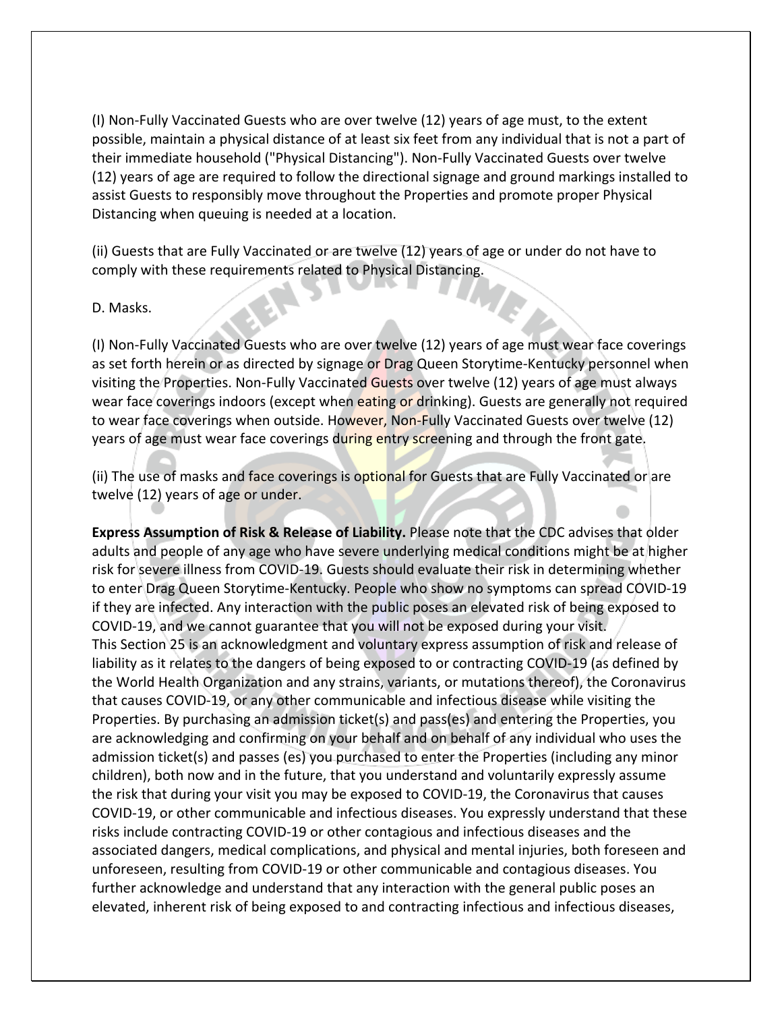(I) Non-Fully Vaccinated Guests who are over twelve (12) years of age must, to the extent possible, maintain a physical distance of at least six feet from any individual that is not a part of their immediate household ("Physical Distancing"). Non-Fully Vaccinated Guests over twelve (12) years of age are required to follow the directional signage and ground markings installed to assist Guests to responsibly move throughout the Properties and promote proper Physical Distancing when queuing is needed at a location.

(ii) Guests that are Fully Vaccinated or are twelve (12) years of age or under do not have to comply with these requirements related to Physical Distancing.

### D. Masks.

(I) Non-Fully Vaccinated Guests who are over twelve (12) years of age must wear face coverings as set forth herein or as directed by signage or Drag Queen Storytime-Kentucky personnel when visiting the Properties. Non-Fully Vaccinated Guests over twelve (12) years of age must always wear face coverings indoors (except when eating or drinking). Guests are generally not required to wear face coverings when outside. However, Non-Fully Vaccinated Guests over twelve (12) years of age must wear face coverings during entry screening and through the front gate.

(ii) The use of masks and face coverings is optional for Guests that are Fully Vaccinated or are twelve (12) years of age or under.

**Express Assumption of Risk & Release of Liability.** Please note that the CDC advises that older adults and people of any age who have severe underlying medical conditions might be at higher risk for severe illness from COVID-19. Guests should evaluate their risk in determining whether to enter Drag Queen Storytime-Kentucky. People who show no symptoms can spread COVID-19 if they are infected. Any interaction with the public poses an elevated risk of being exposed to COVID-19, and we cannot guarantee that you will not be exposed during your visit. This Section 25 is an acknowledgment and voluntary express assumption of risk and release of liability as it relates to the dangers of being exposed to or contracting COVID-19 (as defined by the World Health Organization and any strains, variants, or mutations thereof), the Coronavirus that causes COVID-19, or any other communicable and infectious disease while visiting the Properties. By purchasing an admission ticket(s) and pass(es) and entering the Properties, you are acknowledging and confirming on your behalf and on behalf of any individual who uses the admission ticket(s) and passes (es) you purchased to enter the Properties (including any minor children), both now and in the future, that you understand and voluntarily expressly assume the risk that during your visit you may be exposed to COVID-19, the Coronavirus that causes COVID-19, or other communicable and infectious diseases. You expressly understand that these risks include contracting COVID-19 or other contagious and infectious diseases and the associated dangers, medical complications, and physical and mental injuries, both foreseen and unforeseen, resulting from COVID-19 or other communicable and contagious diseases. You further acknowledge and understand that any interaction with the general public poses an elevated, inherent risk of being exposed to and contracting infectious and infectious diseases,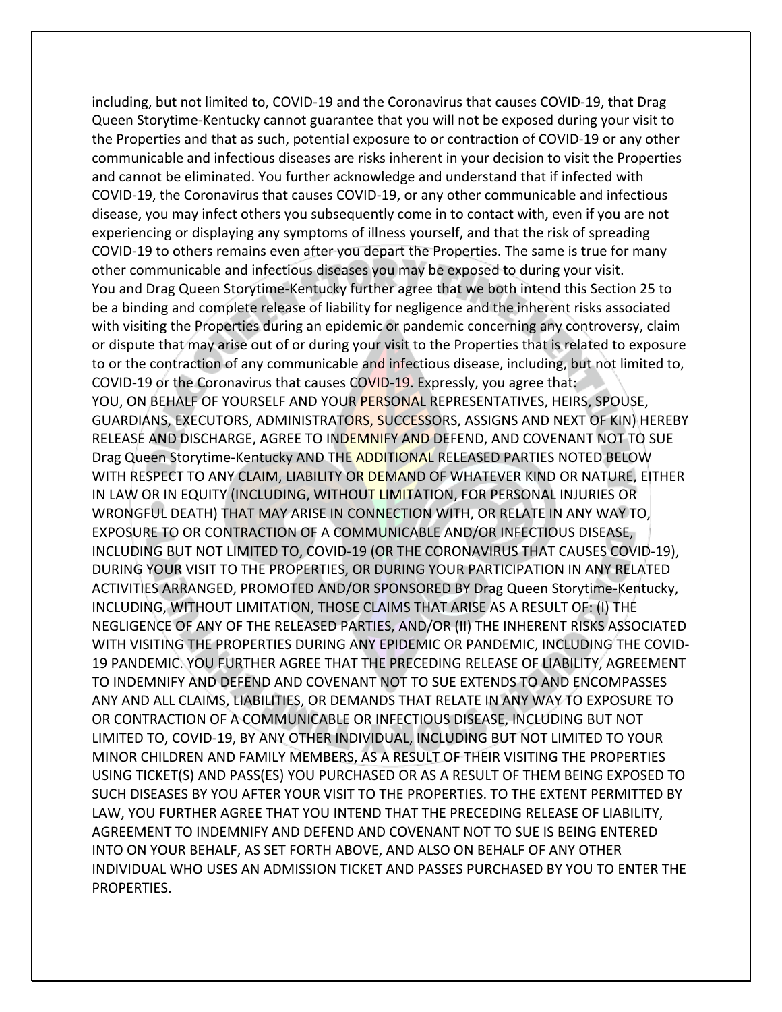including, but not limited to, COVID-19 and the Coronavirus that causes COVID-19, that Drag Queen Storytime-Kentucky cannot guarantee that you will not be exposed during your visit to the Properties and that as such, potential exposure to or contraction of COVID-19 or any other communicable and infectious diseases are risks inherent in your decision to visit the Properties and cannot be eliminated. You further acknowledge and understand that if infected with COVID-19, the Coronavirus that causes COVID-19, or any other communicable and infectious disease, you may infect others you subsequently come in to contact with, even if you are not experiencing or displaying any symptoms of illness yourself, and that the risk of spreading COVID-19 to others remains even after you depart the Properties. The same is true for many other communicable and infectious diseases you may be exposed to during your visit. You and Drag Queen Storytime-Kentucky further agree that we both intend this Section 25 to be a binding and complete release of liability for negligence and the inherent risks associated with visiting the Properties during an epidemic or pandemic concerning any controversy, claim or dispute that may arise out of or during your visit to the Properties that is related to exposure to or the contraction of any communicable and infectious disease, including, but not limited to, COVID-19 or the Coronavirus that causes COVID-19. Expressly, you agree that: YOU, ON BEHALF OF YOURSELF AND YOUR PERSONAL REPRESENTATIVES, HEIRS, SPOUSE, GUARDIANS, EXECUTORS, ADMINISTRATORS, SUCCESSORS, ASSIGNS AND NEXT OF KIN) HEREBY RELEASE AND DISCHARGE, AGREE TO INDEMNIFY AND DEFEND, AND COVENANT NOT TO SUE Drag Queen Storytime-Kentucky AND THE ADDITIONAL RELEASED PARTIES NOTED BELOW WITH RESPECT TO ANY CLAIM, LIABILITY OR DEMAND OF WHATEVER KIND OR NATURE, EITHER IN LAW OR IN EQUITY (INCLUDING, WITHOUT LIMITATION, FOR PERSONAL INJURIES OR WRONGFUL DEATH) THAT MAY ARISE IN CONNECTION WITH, OR RELATE IN ANY WAY TO, EXPOSURE TO OR CONTRACTION OF A COMMUNICABLE AND/OR INFECTIOUS DISEASE, INCLUDING BUT NOT LIMITED TO, COVID-19 (OR THE CORONAVIRUS THAT CAUSES COVID-19), DURING YOUR VISIT TO THE PROPERTIES, OR DURING YOUR PARTICIPATION IN ANY RELATED ACTIVITIES ARRANGED, PROMOTED AND/OR SPONSORED BY Drag Queen Storytime-Kentucky, INCLUDING, WITHOUT LIMITATION, THOSE CLAIMS THAT ARISE AS A RESULT OF: (I) THE NEGLIGENCE OF ANY OF THE RELEASED PARTIES, AND/OR (II) THE INHERENT RISKS ASSOCIATED WITH VISITING THE PROPERTIES DURING ANY EPIDEMIC OR PANDEMIC, INCLUDING THE COVID-19 PANDEMIC. YOU FURTHER AGREE THAT THE PRECEDING RELEASE OF LIABILITY, AGREEMENT TO INDEMNIFY AND DEFEND AND COVENANT NOT TO SUE EXTENDS TO AND ENCOMPASSES ANY AND ALL CLAIMS, LIABILITIES, OR DEMANDS THAT RELATE IN ANY WAY TO EXPOSURE TO OR CONTRACTION OF A COMMUNICABLE OR INFECTIOUS DISEASE, INCLUDING BUT NOT LIMITED TO, COVID-19, BY ANY OTHER INDIVIDUAL, INCLUDING BUT NOT LIMITED TO YOUR MINOR CHILDREN AND FAMILY MEMBERS, AS A RESULT OF THEIR VISITING THE PROPERTIES USING TICKET(S) AND PASS(ES) YOU PURCHASED OR AS A RESULT OF THEM BEING EXPOSED TO SUCH DISEASES BY YOU AFTER YOUR VISIT TO THE PROPERTIES. TO THE EXTENT PERMITTED BY LAW, YOU FURTHER AGREE THAT YOU INTEND THAT THE PRECEDING RELEASE OF LIABILITY, AGREEMENT TO INDEMNIFY AND DEFEND AND COVENANT NOT TO SUE IS BEING ENTERED INTO ON YOUR BEHALF, AS SET FORTH ABOVE, AND ALSO ON BEHALF OF ANY OTHER INDIVIDUAL WHO USES AN ADMISSION TICKET AND PASSES PURCHASED BY YOU TO ENTER THE PROPERTIES.